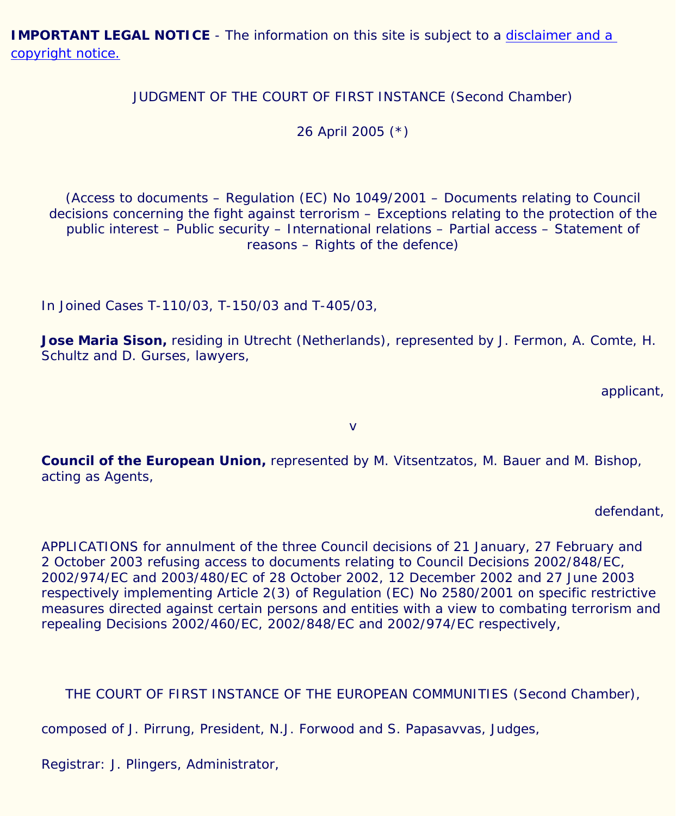**IMPORTANT LEGAL NOTICE** - The information on this site is subject to a disclaimer and a [copyright notice.](javascript:window.open()

JUDGMENT OF THE COURT OF FIRST INSTANCE (Second Chamber)

26 April 2005 [\(\\*\)](#page-19-0)

<span id="page-0-0"></span>(Access to documents – Regulation (EC) No 1049/2001 – Documents relating to Council decisions concerning the fight against terrorism – Exceptions relating to the protection of the public interest – Public security – International relations – Partial access – Statement of reasons – Rights of the defence)

In Joined Cases T-110/03, T-150/03 and T-405/03,

**Jose Maria Sison,** residing in Utrecht (Netherlands), represented by J. Fermon, A. Comte, H. Schultz and D. Gurses, lawyers,

applicant,

v

**Council of the European Union,** represented by M. Vitsentzatos, M. Bauer and M. Bishop, acting as Agents,

defendant,

APPLICATIONS for annulment of the three Council decisions of 21 January, 27 February and 2 October 2003 refusing access to documents relating to Council Decisions 2002/848/EC, 2002/974/EC and 2003/480/EC of 28 October 2002, 12 December 2002 and 27 June 2003 respectively implementing Article 2(3) of Regulation (EC) No 2580/2001 on specific restrictive measures directed against certain persons and entities with a view to combating terrorism and repealing Decisions 2002/460/EC, 2002/848/EC and 2002/974/EC respectively,

THE COURT OF FIRST INSTANCE OF THE EUROPEAN COMMUNITIES (Second Chamber),

composed of J. Pirrung, President, N.J. Forwood and S. Papasavvas, Judges,

Registrar: J. Plingers, Administrator,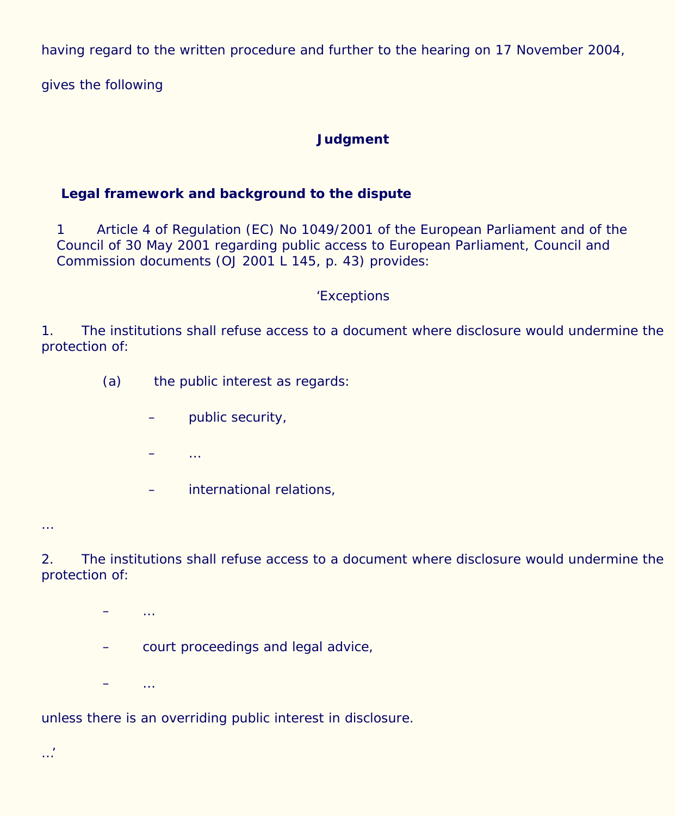having regard to the written procedure and further to the hearing on 17 November 2004,

gives the following

#### **Judgment**

# **Legal framework and background to the dispute**

1 Article 4 of Regulation (EC) No 1049/2001 of the European Parliament and of the Council of 30 May 2001 regarding public access to European Parliament, Council and Commission documents (OJ 2001 L 145, p. 43) provides:

#### 'Exceptions

1. The institutions shall refuse access to a document where disclosure would undermine the protection of:

- (a) the public interest as regards:
	- public security,
	- $\ddotsc$
	- international relations,

2. The institutions shall refuse access to a document where disclosure would undermine the protection of:

 $\ddotsc$ – court proceedings and legal advice,  $\ddotsc$ 

unless there is an overriding public interest in disclosure.

…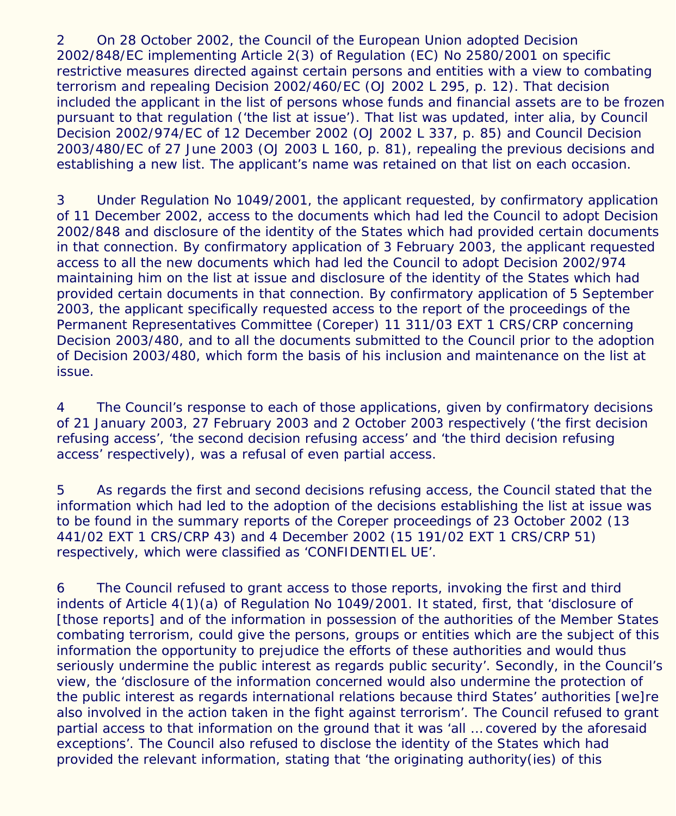2 On 28 October 2002, the Council of the European Union adopted Decision 2002/848/EC implementing Article 2(3) of Regulation (EC) No 2580/2001 on specific restrictive measures directed against certain persons and entities with a view to combating terrorism and repealing Decision 2002/460/EC (OJ 2002 L 295, p. 12). That decision included the applicant in the list of persons whose funds and financial assets are to be frozen pursuant to that regulation ('the list at issue'). That list was updated, inter alia, by Council Decision 2002/974/EC of 12 December 2002 (OJ 2002 L 337, p. 85) and Council Decision 2003/480/EC of 27 June 2003 (OJ 2003 L 160, p. 81), repealing the previous decisions and establishing a new list. The applicant's name was retained on that list on each occasion.

3 Under Regulation No 1049/2001, the applicant requested, by confirmatory application of 11 December 2002, access to the documents which had led the Council to adopt Decision 2002/848 and disclosure of the identity of the States which had provided certain documents in that connection. By confirmatory application of 3 February 2003, the applicant requested access to all the new documents which had led the Council to adopt Decision 2002/974 maintaining him on the list at issue and disclosure of the identity of the States which had provided certain documents in that connection. By confirmatory application of 5 September 2003, the applicant specifically requested access to the report of the proceedings of the Permanent Representatives Committee (Coreper) 11 311/03 EXT 1 CRS/CRP concerning Decision 2003/480, and to all the documents submitted to the Council prior to the adoption of Decision 2003/480, which form the basis of his inclusion and maintenance on the list at issue.

4 The Council's response to each of those applications, given by confirmatory decisions of 21 January 2003, 27 February 2003 and 2 October 2003 respectively ('the first decision refusing access', 'the second decision refusing access' and 'the third decision refusing access' respectively), was a refusal of even partial access.

5 As regards the first and second decisions refusing access, the Council stated that the information which had led to the adoption of the decisions establishing the list at issue was to be found in the summary reports of the Coreper proceedings of 23 October 2002 (13 441/02 EXT 1 CRS/CRP 43) and 4 December 2002 (15 191/02 EXT 1 CRS/CRP 51) respectively, which were classified as 'CONFIDENTIEL UE'.

6 The Council refused to grant access to those reports, invoking the first and third indents of Article 4(1)(a) of Regulation No 1049/2001. It stated, first, that 'disclosure of [those reports] and of the information in possession of the authorities of the Member States combating terrorism, could give the persons, groups or entities which are the subject of this information the opportunity to prejudice the efforts of these authorities and would thus seriously undermine the public interest as regards public security'. Secondly, in the Council's view, the 'disclosure of the information concerned would also undermine the protection of the public interest as regards international relations because third States' authorities [we]re also involved in the action taken in the fight against terrorism'. The Council refused to grant partial access to that information on the ground that it was 'all … covered by the aforesaid exceptions'. The Council also refused to disclose the identity of the States which had provided the relevant information, stating that 'the originating authority(ies) of this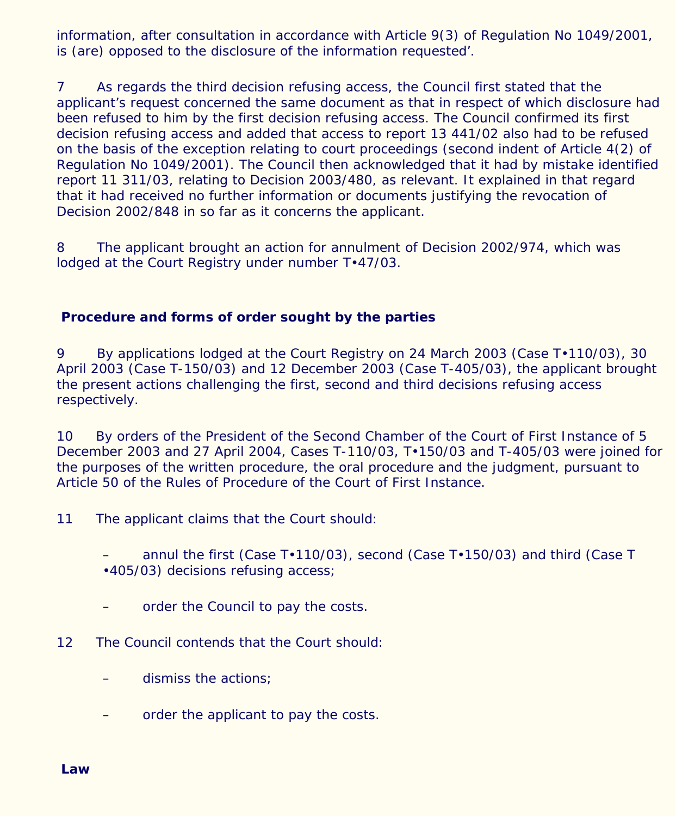information, after consultation in accordance with Article 9(3) of Regulation No 1049/2001, is (are) opposed to the disclosure of the information requested'.

7 As regards the third decision refusing access, the Council first stated that the applicant's request concerned the same document as that in respect of which disclosure had been refused to him by the first decision refusing access. The Council confirmed its first decision refusing access and added that access to report 13 441/02 also had to be refused on the basis of the exception relating to court proceedings (second indent of Article 4(2) of Regulation No 1049/2001). The Council then acknowledged that it had by mistake identified report 11 311/03, relating to Decision 2003/480, as relevant. It explained in that regard that it had received no further information or documents justifying the revocation of Decision 2002/848 in so far as it concerns the applicant.

8 The applicant brought an action for annulment of Decision 2002/974, which was lodged at the Court Registry under number T•47/03.

#### **Procedure and forms of order sought by the parties**

9 By applications lodged at the Court Registry on 24 March 2003 (Case T•110/03), 30 April 2003 (Case T-150/03) and 12 December 2003 (Case T-405/03), the applicant brought the present actions challenging the first, second and third decisions refusing access respectively.

10 By orders of the President of the Second Chamber of the Court of First Instance of 5 December 2003 and 27 April 2004, Cases T-110/03, T•150/03 and T-405/03 were joined for the purposes of the written procedure, the oral procedure and the judgment, pursuant to Article 50 of the Rules of Procedure of the Court of First Instance.

11 The applicant claims that the Court should:

– annul the first (Case T•110/03), second (Case T•150/03) and third (Case T •405/03) decisions refusing access;

- order the Council to pay the costs.
- 12 The Council contends that the Court should:
	- dismiss the actions;
	- order the applicant to pay the costs.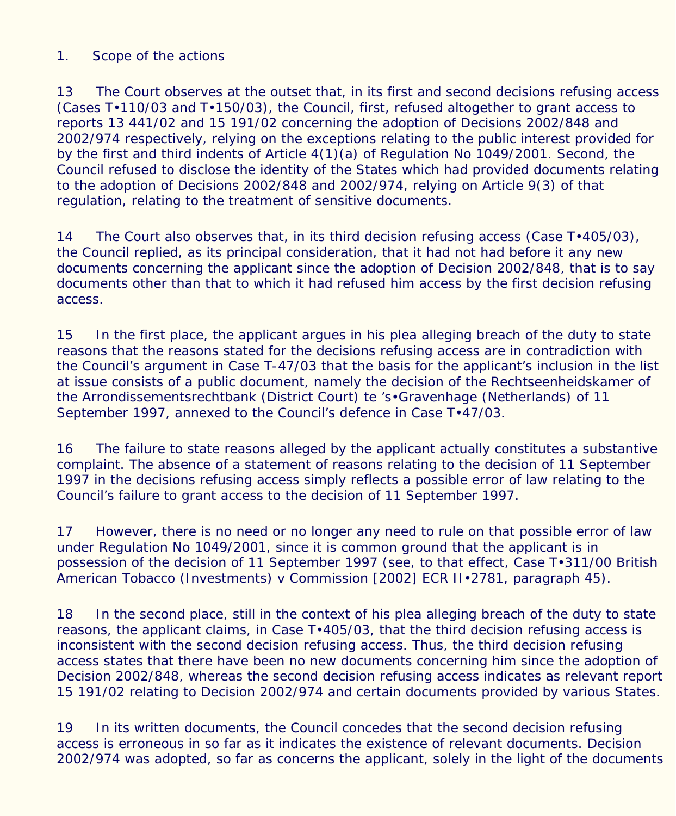#### *1. Scope of the actions*

13 The Court observes at the outset that, in its first and second decisions refusing access (Cases T•110/03 and T•150/03), the Council, first, refused altogether to grant access to reports 13 441/02 and 15 191/02 concerning the adoption of Decisions 2002/848 and 2002/974 respectively, relying on the exceptions relating to the public interest provided for by the first and third indents of Article 4(1)(a) of Regulation No 1049/2001. Second, the Council refused to disclose the identity of the States which had provided documents relating to the adoption of Decisions 2002/848 and 2002/974, relying on Article 9(3) of that regulation, relating to the treatment of sensitive documents.

14 The Court also observes that, in its third decision refusing access (Case T $\cdot$ 405/03), the Council replied, as its principal consideration, that it had not had before it any new documents concerning the applicant since the adoption of Decision 2002/848, that is to say documents other than that to which it had refused him access by the first decision refusing access.

15 In the first place, the applicant argues in his plea alleging breach of the duty to state reasons that the reasons stated for the decisions refusing access are in contradiction with the Council's argument in Case T-47/03 that the basis for the applicant's inclusion in the list at issue consists of a public document, namely the decision of the Rechtseenheidskamer of the Arrondissementsrechtbank (District Court) te 's•Gravenhage (Netherlands) of 11 September 1997, annexed to the Council's defence in Case T•47/03.

16 The failure to state reasons alleged by the applicant actually constitutes a substantive complaint. The absence of a statement of reasons relating to the decision of 11 September 1997 in the decisions refusing access simply reflects a possible error of law relating to the Council's failure to grant access to the decision of 11 September 1997.

17 However, there is no need or no longer any need to rule on that possible error of law under Regulation No 1049/2001, since it is common ground that the applicant is in possession of the decision of 11 September 1997 (see, to that effect, Case T•311/00 *British American Tobacco (Investments)* v *Commission* [2002] ECR II•2781, paragraph 45).

18 In the second place, still in the context of his plea alleging breach of the duty to state reasons, the applicant claims, in Case T•405/03, that the third decision refusing access is inconsistent with the second decision refusing access. Thus, the third decision refusing access states that there have been no new documents concerning him since the adoption of Decision 2002/848, whereas the second decision refusing access indicates as relevant report 15 191/02 relating to Decision 2002/974 and certain documents provided by various States.

19 In its written documents, the Council concedes that the second decision refusing access is erroneous in so far as it indicates the existence of relevant documents. Decision 2002/974 was adopted, so far as concerns the applicant, solely in the light of the documents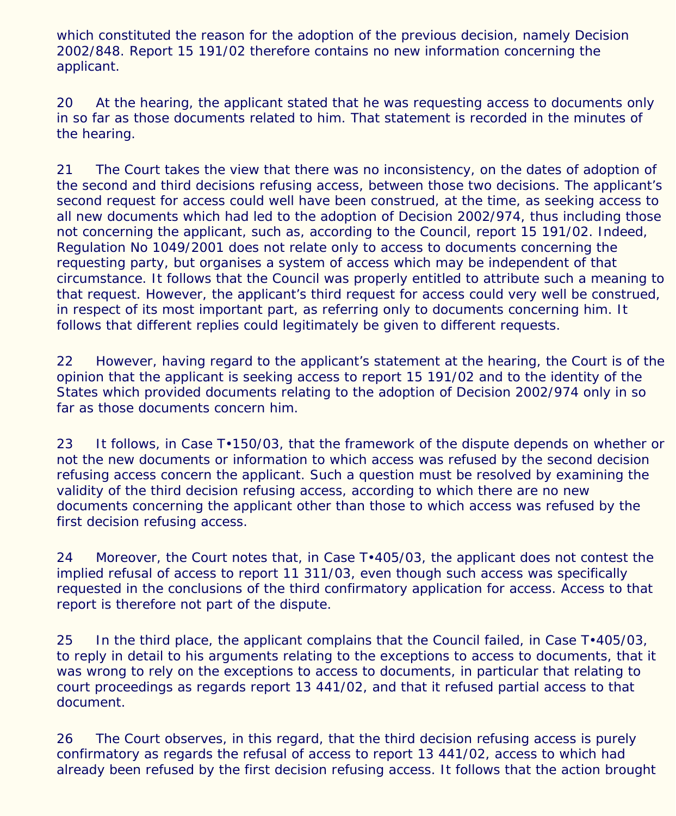which constituted the reason for the adoption of the previous decision, namely Decision 2002/848. Report 15 191/02 therefore contains no new information concerning the applicant.

20 At the hearing, the applicant stated that he was requesting access to documents only in so far as those documents related to him. That statement is recorded in the minutes of the hearing.

21 The Court takes the view that there was no inconsistency, on the dates of adoption of the second and third decisions refusing access, between those two decisions. The applicant's second request for access could well have been construed, at the time, as seeking access to all new documents which had led to the adoption of Decision 2002/974, thus including those not concerning the applicant, such as, according to the Council, report 15 191/02. Indeed, Regulation No 1049/2001 does not relate only to access to documents concerning the requesting party, but organises a system of access which may be independent of that circumstance. It follows that the Council was properly entitled to attribute such a meaning to that request. However, the applicant's third request for access could very well be construed, in respect of its most important part, as referring only to documents concerning him. It follows that different replies could legitimately be given to different requests.

22 However, having regard to the applicant's statement at the hearing, the Court is of the opinion that the applicant is seeking access to report 15 191/02 and to the identity of the States which provided documents relating to the adoption of Decision 2002/974 only in so far as those documents concern him.

23 It follows, in Case T $\cdot$ 150/03, that the framework of the dispute depends on whether or not the new documents or information to which access was refused by the second decision refusing access concern the applicant. Such a question must be resolved by examining the validity of the third decision refusing access, according to which there are no new documents concerning the applicant other than those to which access was refused by the first decision refusing access.

24 Moreover, the Court notes that, in Case T $\cdot$ 405/03, the applicant does not contest the implied refusal of access to report 11 311/03, even though such access was specifically requested in the conclusions of the third confirmatory application for access. Access to that report is therefore not part of the dispute.

25 In the third place, the applicant complains that the Council failed, in Case T $\cdot$ 405/03, to reply in detail to his arguments relating to the exceptions to access to documents, that it was wrong to rely on the exceptions to access to documents, in particular that relating to court proceedings as regards report 13 441/02, and that it refused partial access to that document.

26 The Court observes, in this regard, that the third decision refusing access is purely confirmatory as regards the refusal of access to report 13 441/02, access to which had already been refused by the first decision refusing access. It follows that the action brought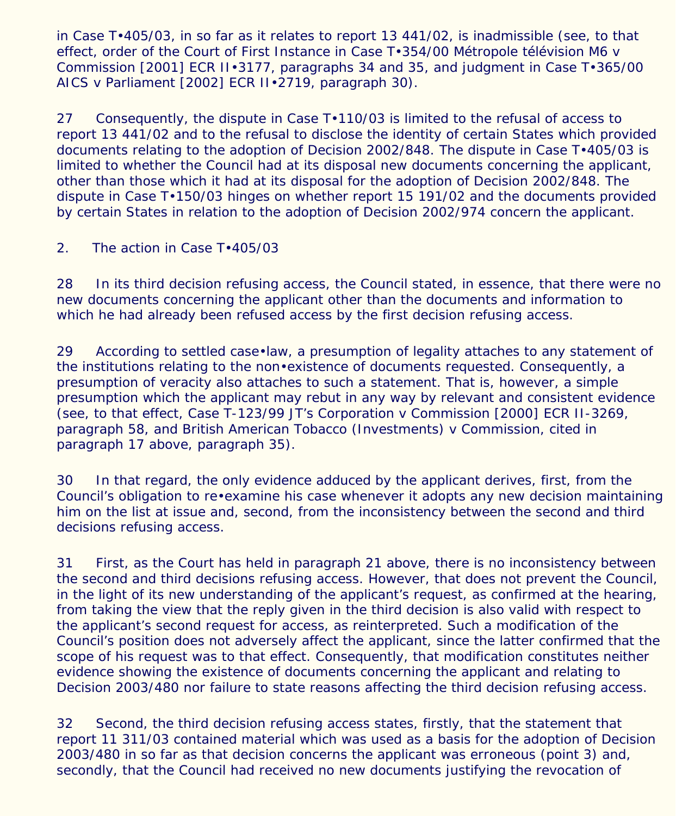in Case T•405/03, in so far as it relates to report 13 441/02, is inadmissible (see, to that effect, order of the Court of First Instance in Case T•354/00 *Métropole télévision M6* v *Commission* [2001] ECR II•3177, paragraphs 34 and 35, and judgment in Case T•365/00 *AICS* v *Parliament* [2002] ECR II•2719, paragraph 30).

27 Consequently, the dispute in Case T $\cdot$ 110/03 is limited to the refusal of access to report 13 441/02 and to the refusal to disclose the identity of certain States which provided documents relating to the adoption of Decision 2002/848. The dispute in Case T•405/03 is limited to whether the Council had at its disposal new documents concerning the applicant, other than those which it had at its disposal for the adoption of Decision 2002/848. The dispute in Case T•150/03 hinges on whether report 15 191/02 and the documents provided by certain States in relation to the adoption of Decision 2002/974 concern the applicant.

# *2. The action in Case T•405/03*

28 In its third decision refusing access, the Council stated, in essence, that there were no new documents concerning the applicant other than the documents and information to which he had already been refused access by the first decision refusing access.

29 According to settled case•law, a presumption of legality attaches to any statement of the institutions relating to the non•existence of documents requested. Consequently, a presumption of veracity also attaches to such a statement. That is, however, a simple presumption which the applicant may rebut in any way by relevant and consistent evidence (see, to that effect, Case T-123/99 *JT's Corporation* v *Commission* [2000] ECR II-3269, paragraph 58, and *British American Tobacco (Investments)* v *Commission*, cited in paragraph 17 above, paragraph 35).

30 In that regard, the only evidence adduced by the applicant derives, first, from the Council's obligation to re•examine his case whenever it adopts any new decision maintaining him on the list at issue and, second, from the inconsistency between the second and third decisions refusing access.

31 First, as the Court has held in paragraph 21 above, there is no inconsistency between the second and third decisions refusing access. However, that does not prevent the Council, in the light of its new understanding of the applicant's request, as confirmed at the hearing, from taking the view that the reply given in the third decision is also valid with respect to the applicant's second request for access, as reinterpreted. Such a modification of the Council's position does not adversely affect the applicant, since the latter confirmed that the scope of his request was to that effect. Consequently, that modification constitutes neither evidence showing the existence of documents concerning the applicant and relating to Decision 2003/480 nor failure to state reasons affecting the third decision refusing access.

32 Second, the third decision refusing access states, firstly, that the statement that report 11 311/03 contained material which was used as a basis for the adoption of Decision 2003/480 in so far as that decision concerns the applicant was erroneous (point 3) and, secondly, that the Council had received no new documents justifying the revocation of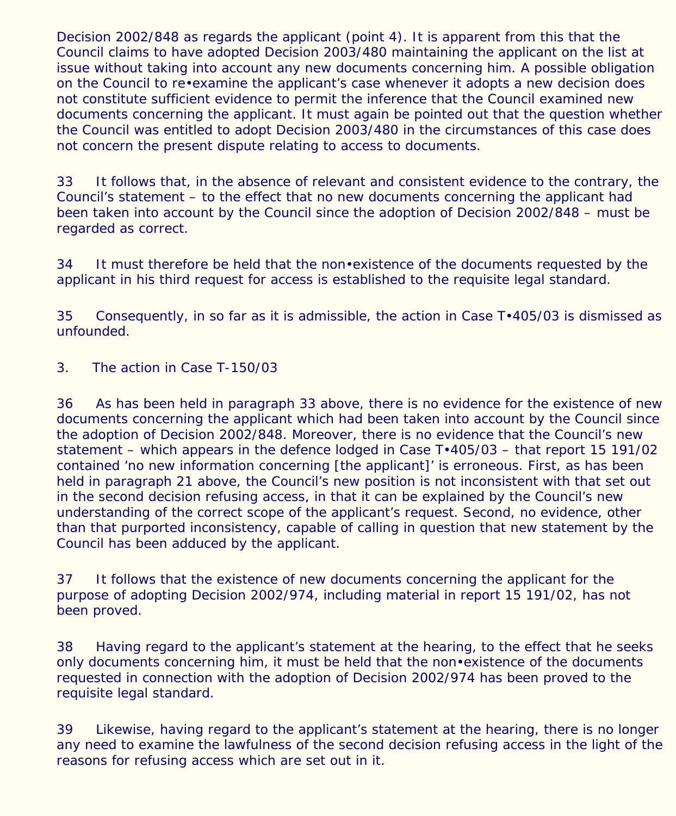Decision 2002/848 as regards the applicant (point 4). It is apparent from this that the Council claims to have adopted Decision 2003/480 maintaining the applicant on the list at issue without taking into account any new documents concerning him. A possible obligation on the Council to re•examine the applicant's case whenever it adopts a new decision does not constitute sufficient evidence to permit the inference that the Council examined new documents concerning the applicant. It must again be pointed out that the question whether the Council was entitled to adopt Decision 2003/480 in the circumstances of this case does not concern the present dispute relating to access to documents.

33 It follows that, in the absence of relevant and consistent evidence to the contrary, the Council's statement – to the effect that no new documents concerning the applicant had been taken into account by the Council since the adoption of Decision 2002/848 – must be regarded as correct.

34 It must therefore be held that the non•existence of the documents requested by the applicant in his third request for access is established to the requisite legal standard.

35 Consequently, in so far as it is admissible, the action in Case T•405/03 is dismissed as unfounded.

# *3. The action in Case T-150/03*

36 As has been held in paragraph 33 above, there is no evidence for the existence of new documents concerning the applicant which had been taken into account by the Council since the adoption of Decision 2002/848. Moreover, there is no evidence that the Council's new statement – which appears in the defence lodged in Case T•405/03 – that report 15 191/02 contained 'no new information concerning [the applicant]' is erroneous. First, as has been held in paragraph 21 above, the Council's new position is not inconsistent with that set out in the second decision refusing access, in that it can be explained by the Council's new understanding of the correct scope of the applicant's request. Second, no evidence, other than that purported inconsistency, capable of calling in question that new statement by the Council has been adduced by the applicant.

37 It follows that the existence of new documents concerning the applicant for the purpose of adopting Decision 2002/974, including material in report 15 191/02, has not been proved.

38 Having regard to the applicant's statement at the hearing, to the effect that he seeks only documents concerning him, it must be held that the non•existence of the documents requested in connection with the adoption of Decision 2002/974 has been proved to the requisite legal standard.

39 Likewise, having regard to the applicant's statement at the hearing, there is no longer any need to examine the lawfulness of the second decision refusing access in the light of the reasons for refusing access which are set out in it.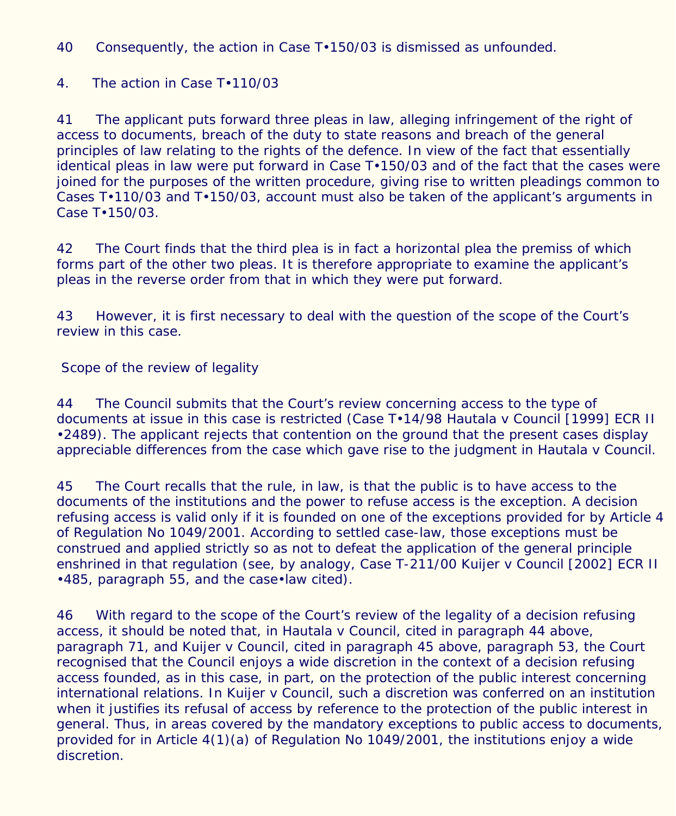40 Consequently, the action in Case T•150/03 is dismissed as unfounded.

# *4. The action in Case T•110/03*

41 The applicant puts forward three pleas in law, alleging infringement of the right of access to documents, breach of the duty to state reasons and breach of the general principles of law relating to the rights of the defence. In view of the fact that essentially identical pleas in law were put forward in Case T•150/03 and of the fact that the cases were joined for the purposes of the written procedure, giving rise to written pleadings common to Cases T•110/03 and T•150/03, account must also be taken of the applicant's arguments in Case T•150/03.

42 The Court finds that the third plea is in fact a horizontal plea the premiss of which forms part of the other two pleas. It is therefore appropriate to examine the applicant's pleas in the reverse order from that in which they were put forward.

43 However, it is first necessary to deal with the question of the scope of the Court's review in this case.

# *Scope of the review of legality*

44 The Council submits that the Court's review concerning access to the type of documents at issue in this case is restricted (Case T•14/98 *Hautala* v *Council* [1999] ECR II •2489). The applicant rejects that contention on the ground that the present cases display appreciable differences from the case which gave rise to the judgment in *Hautala* v *Council*.

45 The Court recalls that the rule, in law, is that the public is to have access to the documents of the institutions and the power to refuse access is the exception. A decision refusing access is valid only if it is founded on one of the exceptions provided for by Article 4 of Regulation No 1049/2001. According to settled case-law, those exceptions must be construed and applied strictly so as not to defeat the application of the general principle enshrined in that regulation (see, by analogy, Case T-211/00 *Kuijer* v *Council* [2002] ECR II •485, paragraph 55, and the case•law cited).

46 With regard to the scope of the Court's review of the legality of a decision refusing access, it should be noted that, in *Hautala* v *Council*, cited in paragraph 44 above, paragraph 71, and *Kuijer* v *Council*, cited in paragraph 45 above, paragraph 53, the Court recognised that the Council enjoys a wide discretion in the context of a decision refusing access founded, as in this case, in part, on the protection of the public interest concerning international relations. In *Kuijer* v *Council*, such a discretion was conferred on an institution when it justifies its refusal of access by reference to the protection of the public interest in general. Thus, in areas covered by the mandatory exceptions to public access to documents, provided for in Article 4(1)(a) of Regulation No 1049/2001, the institutions enjoy a wide discretion.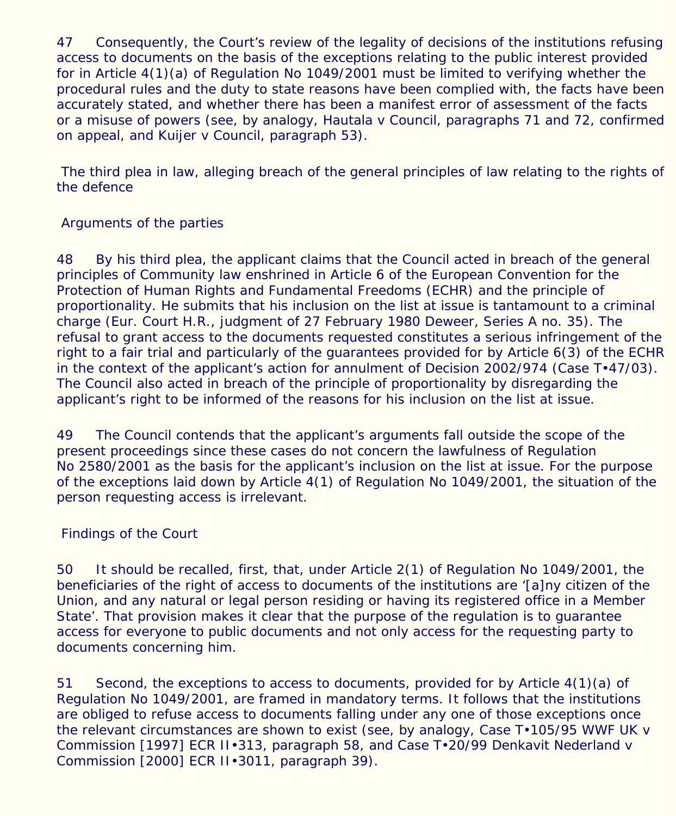47 Consequently, the Court's review of the legality of decisions of the institutions refusing access to documents on the basis of the exceptions relating to the public interest provided for in Article 4(1)(a) of Regulation No 1049/2001 must be limited to verifying whether the procedural rules and the duty to state reasons have been complied with, the facts have been accurately stated, and whether there has been a manifest error of assessment of the facts or a misuse of powers (see, by analogy, *Hautala* v *Council*, paragraphs 71 and 72, confirmed on appeal, and *Kuijer* v *Council*, paragraph 53).

 *The third plea in law, alleging breach of the general principles of law relating to the rights of the defence*

Arguments of the parties

48 By his third plea, the applicant claims that the Council acted in breach of the general principles of Community law enshrined in Article 6 of the European Convention for the Protection of Human Rights and Fundamental Freedoms (ECHR) and the principle of proportionality. He submits that his inclusion on the list at issue is tantamount to a criminal charge (Eur. Court H.R., judgment of 27 February 1980 Deweer, Series A no. 35). The refusal to grant access to the documents requested constitutes a serious infringement of the right to a fair trial and particularly of the guarantees provided for by Article 6(3) of the ECHR in the context of the applicant's action for annulment of Decision 2002/974 (Case T•47/03). The Council also acted in breach of the principle of proportionality by disregarding the applicant's right to be informed of the reasons for his inclusion on the list at issue.

49 The Council contends that the applicant's arguments fall outside the scope of the present proceedings since these cases do not concern the lawfulness of Regulation No 2580/2001 as the basis for the applicant's inclusion on the list at issue. For the purpose of the exceptions laid down by Article 4(1) of Regulation No 1049/2001, the situation of the person requesting access is irrelevant.

Findings of the Court

50 It should be recalled, first, that, under Article 2(1) of Regulation No 1049/2001, the beneficiaries of the right of access to documents of the institutions are '[a]ny citizen of the Union, and any natural or legal person residing or having its registered office in a Member State'. That provision makes it clear that the purpose of the regulation is to guarantee access for everyone to public documents and not only access for the requesting party to documents concerning him.

51 Second, the exceptions to access to documents, provided for by Article 4(1)(a) of Regulation No 1049/2001, are framed in mandatory terms. It follows that the institutions are obliged to refuse access to documents falling under any one of those exceptions once the relevant circumstances are shown to exist (see, by analogy, Case T•105/95 *WWF UK* v *Commission* [1997] ECR II•313, paragraph 58, and Case T•20/99 *Denkavit Nederland* v *Commission* [2000] ECR II•3011, paragraph 39).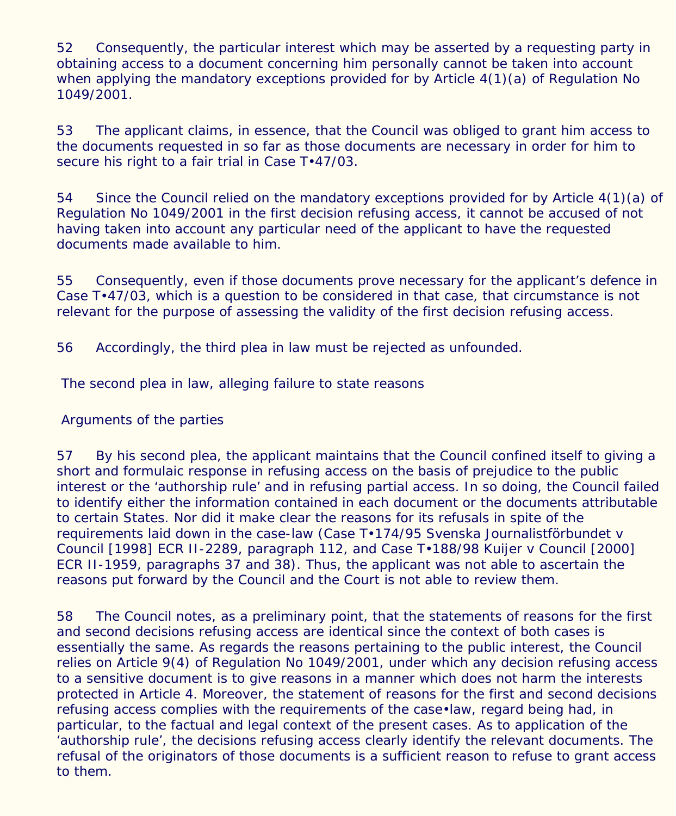52 Consequently, the particular interest which may be asserted by a requesting party in obtaining access to a document concerning him personally cannot be taken into account when applying the mandatory exceptions provided for by Article 4(1)(a) of Regulation No 1049/2001.

53 The applicant claims, in essence, that the Council was obliged to grant him access to the documents requested in so far as those documents are necessary in order for him to secure his right to a fair trial in Case  $T·47/03$ .

54 Since the Council relied on the mandatory exceptions provided for by Article 4(1)(a) of Regulation No 1049/2001 in the first decision refusing access, it cannot be accused of not having taken into account any particular need of the applicant to have the requested documents made available to him.

55 Consequently, even if those documents prove necessary for the applicant's defence in Case T•47/03, which is a question to be considered in that case, that circumstance is not relevant for the purpose of assessing the validity of the first decision refusing access.

56 Accordingly, the third plea in law must be rejected as unfounded.

# *The second plea in law, alleging failure to state reasons*

# Arguments of the parties

57 By his second plea, the applicant maintains that the Council confined itself to giving a short and formulaic response in refusing access on the basis of prejudice to the public interest or the 'authorship rule' and in refusing partial access. In so doing, the Council failed to identify either the information contained in each document or the documents attributable to certain States. Nor did it make clear the reasons for its refusals in spite of the requirements laid down in the case-law (Case T•174/95 *Svenska Journalistförbundet* v *Council* [1998] ECR II-2289, paragraph 112, and Case T•188/98 *Kuijer* v *Council* [2000] ECR II-1959, paragraphs 37 and 38). Thus, the applicant was not able to ascertain the reasons put forward by the Council and the Court is not able to review them.

58 The Council notes, as a preliminary point, that the statements of reasons for the first and second decisions refusing access are identical since the context of both cases is essentially the same. As regards the reasons pertaining to the public interest, the Council relies on Article 9(4) of Regulation No 1049/2001, under which any decision refusing access to a sensitive document is to give reasons in a manner which does not harm the interests protected in Article 4. Moreover, the statement of reasons for the first and second decisions refusing access complies with the requirements of the case•law, regard being had, in particular, to the factual and legal context of the present cases. As to application of the 'authorship rule', the decisions refusing access clearly identify the relevant documents. The refusal of the originators of those documents is a sufficient reason to refuse to grant access to them.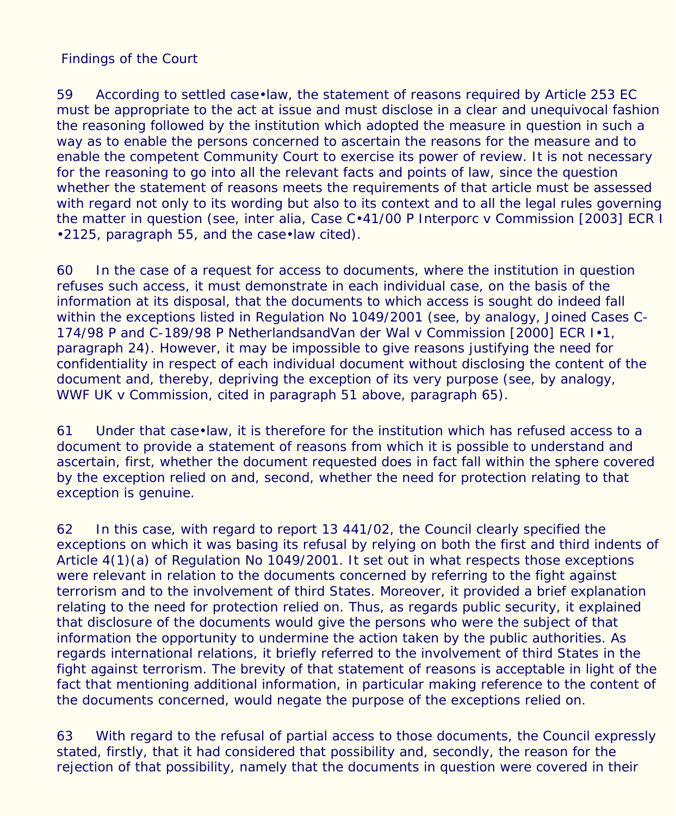#### Findings of the Court

59 According to settled case•law, the statement of reasons required by Article 253 EC must be appropriate to the act at issue and must disclose in a clear and unequivocal fashion the reasoning followed by the institution which adopted the measure in question in such a way as to enable the persons concerned to ascertain the reasons for the measure and to enable the competent Community Court to exercise its power of review. It is not necessary for the reasoning to go into all the relevant facts and points of law, since the question whether the statement of reasons meets the requirements of that article must be assessed with regard not only to its wording but also to its context and to all the legal rules governing the matter in question (see, inter alia, Case C•41/00 P *Interporc* v *Commission* [2003] ECR I •2125, paragraph 55, and the case•law cited).

60 In the case of a request for access to documents, where the institution in question refuses such access, it must demonstrate in each individual case, on the basis of the information at its disposal, that the documents to which access is sought do indeed fall within the exceptions listed in Regulation No 1049/2001 (see, by analogy, Joined Cases C-174/98 P and C-189/98 P *NetherlandsandVan der Wal* v *Commission* [2000] ECR I•1, paragraph 24). However, it may be impossible to give reasons justifying the need for confidentiality in respect of each individual document without disclosing the content of the document and, thereby, depriving the exception of its very purpose (see, by analogy, *WWF UK* v *Commission*, cited in paragraph 51 above, paragraph 65).

61 Under that case•law, it is therefore for the institution which has refused access to a document to provide a statement of reasons from which it is possible to understand and ascertain, first, whether the document requested does in fact fall within the sphere covered by the exception relied on and, second, whether the need for protection relating to that exception is genuine.

62 In this case, with regard to report 13 441/02, the Council clearly specified the exceptions on which it was basing its refusal by relying on both the first and third indents of Article 4(1)(a) of Regulation No 1049/2001. It set out in what respects those exceptions were relevant in relation to the documents concerned by referring to the fight against terrorism and to the involvement of third States. Moreover, it provided a brief explanation relating to the need for protection relied on. Thus, as regards public security, it explained that disclosure of the documents would give the persons who were the subject of that information the opportunity to undermine the action taken by the public authorities. As regards international relations, it briefly referred to the involvement of third States in the fight against terrorism. The brevity of that statement of reasons is acceptable in light of the fact that mentioning additional information, in particular making reference to the content of the documents concerned, would negate the purpose of the exceptions relied on.

63 With regard to the refusal of partial access to those documents, the Council expressly stated, firstly, that it had considered that possibility and, secondly, the reason for the rejection of that possibility, namely that the documents in question were covered in their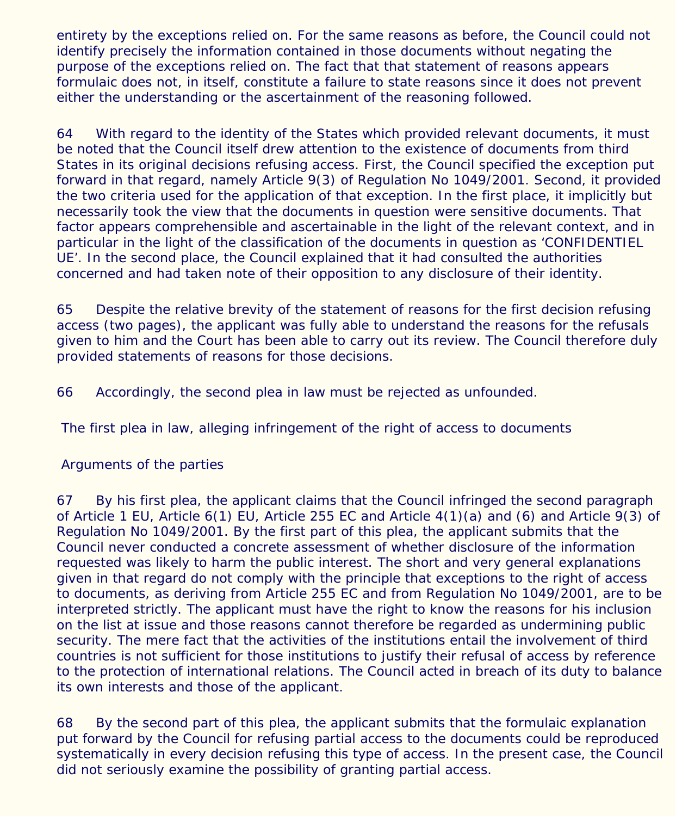entirety by the exceptions relied on. For the same reasons as before, the Council could not identify precisely the information contained in those documents without negating the purpose of the exceptions relied on. The fact that that statement of reasons appears formulaic does not, in itself, constitute a failure to state reasons since it does not prevent either the understanding or the ascertainment of the reasoning followed.

64 With regard to the identity of the States which provided relevant documents, it must be noted that the Council itself drew attention to the existence of documents from third States in its original decisions refusing access. First, the Council specified the exception put forward in that regard, namely Article 9(3) of Regulation No 1049/2001. Second, it provided the two criteria used for the application of that exception. In the first place, it implicitly but necessarily took the view that the documents in question were sensitive documents. That factor appears comprehensible and ascertainable in the light of the relevant context, and in particular in the light of the classification of the documents in question as 'CONFIDENTIEL UE'. In the second place, the Council explained that it had consulted the authorities concerned and had taken note of their opposition to any disclosure of their identity.

65 Despite the relative brevity of the statement of reasons for the first decision refusing access (two pages), the applicant was fully able to understand the reasons for the refusals given to him and the Court has been able to carry out its review. The Council therefore duly provided statements of reasons for those decisions.

66 Accordingly, the second plea in law must be rejected as unfounded.

 *The first plea in law, alleging infringement of the right of access to documents*

# Arguments of the parties

67 By his first plea, the applicant claims that the Council infringed the second paragraph of Article 1 EU, Article 6(1) EU, Article 255 EC and Article 4(1)(a) and (6) and Article 9(3) of Regulation No 1049/2001. By the first part of this plea, the applicant submits that the Council never conducted a concrete assessment of whether disclosure of the information requested was likely to harm the public interest. The short and very general explanations given in that regard do not comply with the principle that exceptions to the right of access to documents, as deriving from Article 255 EC and from Regulation No 1049/2001, are to be interpreted strictly. The applicant must have the right to know the reasons for his inclusion on the list at issue and those reasons cannot therefore be regarded as undermining public security. The mere fact that the activities of the institutions entail the involvement of third countries is not sufficient for those institutions to justify their refusal of access by reference to the protection of international relations. The Council acted in breach of its duty to balance its own interests and those of the applicant.

68 By the second part of this plea, the applicant submits that the formulaic explanation put forward by the Council for refusing partial access to the documents could be reproduced systematically in every decision refusing this type of access. In the present case, the Council did not seriously examine the possibility of granting partial access.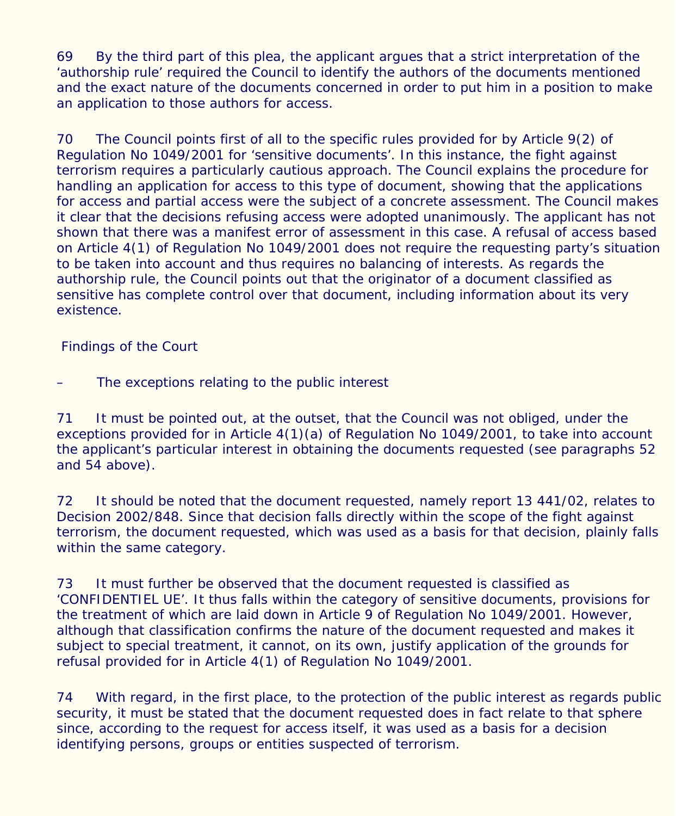69 By the third part of this plea, the applicant argues that a strict interpretation of the 'authorship rule' required the Council to identify the authors of the documents mentioned and the exact nature of the documents concerned in order to put him in a position to make an application to those authors for access.

70 The Council points first of all to the specific rules provided for by Article 9(2) of Regulation No 1049/2001 for 'sensitive documents'. In this instance, the fight against terrorism requires a particularly cautious approach. The Council explains the procedure for handling an application for access to this type of document, showing that the applications for access and partial access were the subject of a concrete assessment. The Council makes it clear that the decisions refusing access were adopted unanimously. The applicant has not shown that there was a manifest error of assessment in this case. A refusal of access based on Article 4(1) of Regulation No 1049/2001 does not require the requesting party's situation to be taken into account and thus requires no balancing of interests. As regards the authorship rule, the Council points out that the originator of a document classified as sensitive has complete control over that document, including information about its very existence.

Findings of the Court

The exceptions relating to the public interest

71 It must be pointed out, at the outset, that the Council was not obliged, under the exceptions provided for in Article 4(1)(a) of Regulation No 1049/2001, to take into account the applicant's particular interest in obtaining the documents requested (see paragraphs 52 and 54 above).

72 It should be noted that the document requested, namely report 13 441/02, relates to Decision 2002/848. Since that decision falls directly within the scope of the fight against terrorism, the document requested, which was used as a basis for that decision, plainly falls within the same category.

73 It must further be observed that the document requested is classified as 'CONFIDENTIEL UE'. It thus falls within the category of sensitive documents, provisions for the treatment of which are laid down in Article 9 of Regulation No 1049/2001. However, although that classification confirms the nature of the document requested and makes it subject to special treatment, it cannot, on its own, justify application of the grounds for refusal provided for in Article 4(1) of Regulation No 1049/2001.

74 With regard, in the first place, to the protection of the public interest as regards public security, it must be stated that the document requested does in fact relate to that sphere since, according to the request for access itself, it was used as a basis for a decision identifying persons, groups or entities suspected of terrorism.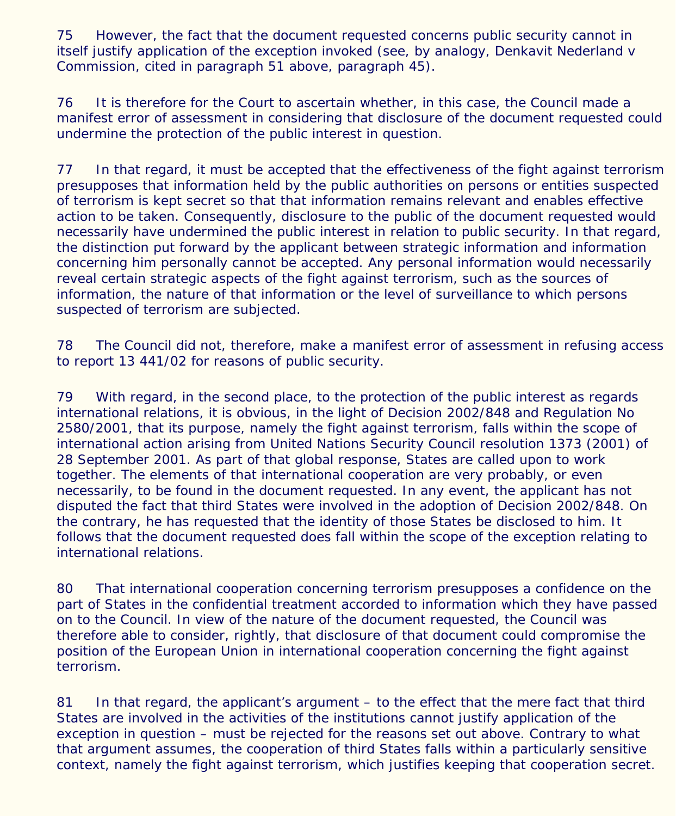75 However, the fact that the document requested concerns public security cannot in itself justify application of the exception invoked (see, by analogy, *Denkavit Nederland* v *Commission*, cited in paragraph 51 above, paragraph 45).

76 It is therefore for the Court to ascertain whether, in this case, the Council made a manifest error of assessment in considering that disclosure of the document requested could undermine the protection of the public interest in question.

77 In that regard, it must be accepted that the effectiveness of the fight against terrorism presupposes that information held by the public authorities on persons or entities suspected of terrorism is kept secret so that that information remains relevant and enables effective action to be taken. Consequently, disclosure to the public of the document requested would necessarily have undermined the public interest in relation to public security. In that regard, the distinction put forward by the applicant between strategic information and information concerning him personally cannot be accepted. Any personal information would necessarily reveal certain strategic aspects of the fight against terrorism, such as the sources of information, the nature of that information or the level of surveillance to which persons suspected of terrorism are subjected.

78 The Council did not, therefore, make a manifest error of assessment in refusing access to report 13 441/02 for reasons of public security.

79 With regard, in the second place, to the protection of the public interest as regards international relations, it is obvious, in the light of Decision 2002/848 and Regulation No 2580/2001, that its purpose, namely the fight against terrorism, falls within the scope of international action arising from United Nations Security Council resolution 1373 (2001) of 28 September 2001. As part of that global response, States are called upon to work together. The elements of that international cooperation are very probably, or even necessarily, to be found in the document requested. In any event, the applicant has not disputed the fact that third States were involved in the adoption of Decision 2002/848. On the contrary, he has requested that the identity of those States be disclosed to him. It follows that the document requested does fall within the scope of the exception relating to international relations.

80 That international cooperation concerning terrorism presupposes a confidence on the part of States in the confidential treatment accorded to information which they have passed on to the Council. In view of the nature of the document requested, the Council was therefore able to consider, rightly, that disclosure of that document could compromise the position of the European Union in international cooperation concerning the fight against terrorism.

81 In that regard, the applicant's argument – to the effect that the mere fact that third States are involved in the activities of the institutions cannot justify application of the exception in question – must be rejected for the reasons set out above. Contrary to what that argument assumes, the cooperation of third States falls within a particularly sensitive context, namely the fight against terrorism, which justifies keeping that cooperation secret.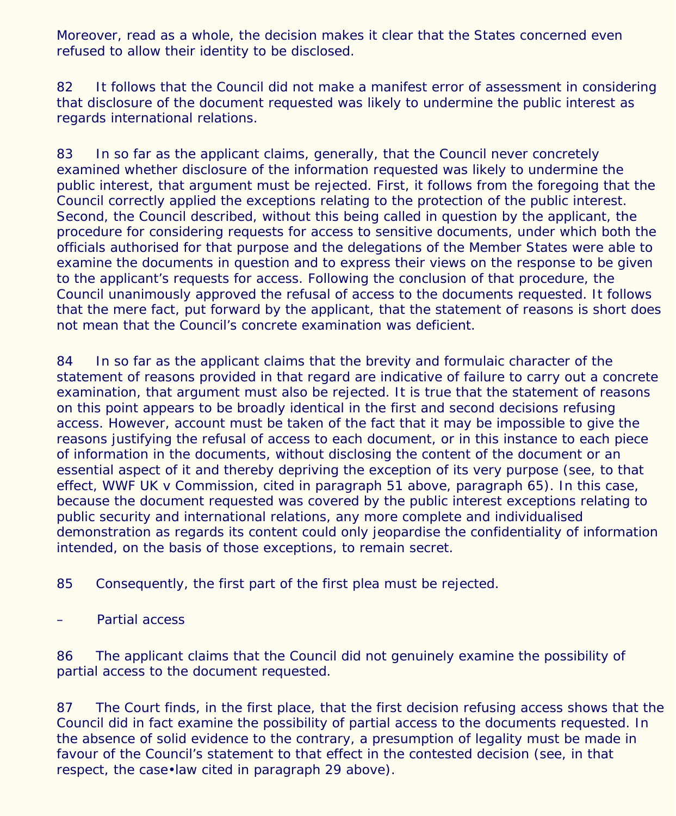Moreover, read as a whole, the decision makes it clear that the States concerned even refused to allow their identity to be disclosed.

82 It follows that the Council did not make a manifest error of assessment in considering that disclosure of the document requested was likely to undermine the public interest as regards international relations.

83 In so far as the applicant claims, generally, that the Council never concretely examined whether disclosure of the information requested was likely to undermine the public interest, that argument must be rejected. First, it follows from the foregoing that the Council correctly applied the exceptions relating to the protection of the public interest. Second, the Council described, without this being called in question by the applicant, the procedure for considering requests for access to sensitive documents, under which both the officials authorised for that purpose and the delegations of the Member States were able to examine the documents in question and to express their views on the response to be given to the applicant's requests for access. Following the conclusion of that procedure, the Council unanimously approved the refusal of access to the documents requested. It follows that the mere fact, put forward by the applicant, that the statement of reasons is short does not mean that the Council's concrete examination was deficient.

84 In so far as the applicant claims that the brevity and formulaic character of the statement of reasons provided in that regard are indicative of failure to carry out a concrete examination, that argument must also be rejected. It is true that the statement of reasons on this point appears to be broadly identical in the first and second decisions refusing access. However, account must be taken of the fact that it may be impossible to give the reasons justifying the refusal of access to each document, or in this instance to each piece of information in the documents, without disclosing the content of the document or an essential aspect of it and thereby depriving the exception of its very purpose (see, to that effect, *WWF UK* v *Commission*, cited in paragraph 51 above, paragraph 65). In this case, because the document requested was covered by the public interest exceptions relating to public security and international relations, any more complete and individualised demonstration as regards its content could only jeopardise the confidentiality of information intended, on the basis of those exceptions, to remain secret.

85 Consequently, the first part of the first plea must be rejected.

Partial access

86 The applicant claims that the Council did not genuinely examine the possibility of partial access to the document requested.

87 The Court finds, in the first place, that the first decision refusing access shows that the Council did in fact examine the possibility of partial access to the documents requested. In the absence of solid evidence to the contrary, a presumption of legality must be made in favour of the Council's statement to that effect in the contested decision (see, in that respect, the case•law cited in paragraph 29 above).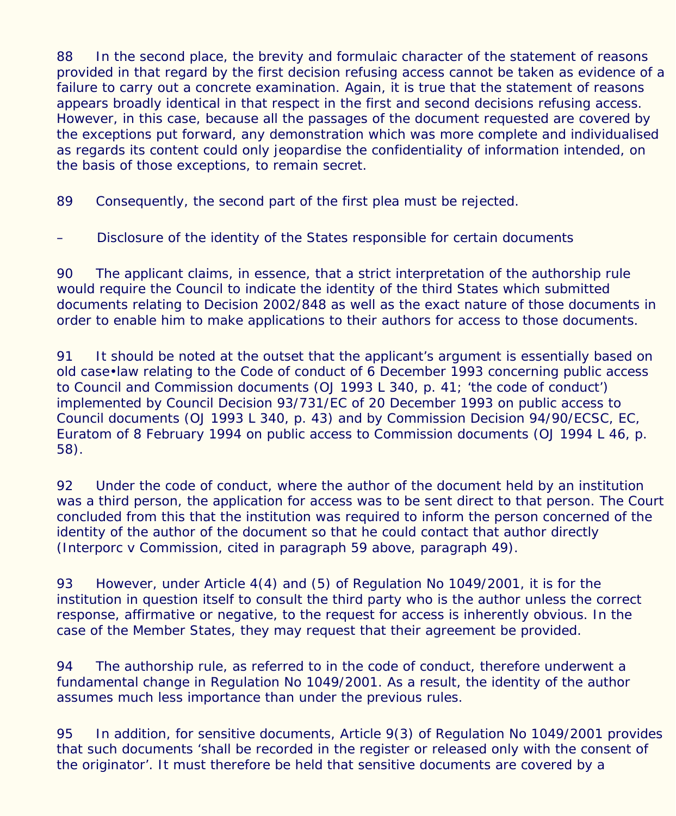88 In the second place, the brevity and formulaic character of the statement of reasons provided in that regard by the first decision refusing access cannot be taken as evidence of a failure to carry out a concrete examination. Again, it is true that the statement of reasons appears broadly identical in that respect in the first and second decisions refusing access. However, in this case, because all the passages of the document requested are covered by the exceptions put forward, any demonstration which was more complete and individualised as regards its content could only jeopardise the confidentiality of information intended, on the basis of those exceptions, to remain secret.

89 Consequently, the second part of the first plea must be rejected.

– Disclosure of the identity of the States responsible for certain documents

90 The applicant claims, in essence, that a strict interpretation of the authorship rule would require the Council to indicate the identity of the third States which submitted documents relating to Decision 2002/848 as well as the exact nature of those documents in order to enable him to make applications to their authors for access to those documents.

91 It should be noted at the outset that the applicant's argument is essentially based on old case•law relating to the Code of conduct of 6 December 1993 concerning public access to Council and Commission documents (OJ 1993 L 340, p. 41; 'the code of conduct') implemented by Council Decision 93/731/EC of 20 December 1993 on public access to Council documents (OJ 1993 L 340, p. 43) and by Commission Decision 94/90/ECSC, EC, Euratom of 8 February 1994 on public access to Commission documents (OJ 1994 L 46, p. 58).

92 Under the code of conduct, where the author of the document held by an institution was a third person, the application for access was to be sent direct to that person. The Court concluded from this that the institution was required to inform the person concerned of the identity of the author of the document so that he could contact that author directly (*Interporc* v *Commission*, cited in paragraph 59 above, paragraph 49).

93 However, under Article 4(4) and (5) of Regulation No 1049/2001, it is for the institution in question itself to consult the third party who is the author unless the correct response, affirmative or negative, to the request for access is inherently obvious. In the case of the Member States, they may request that their agreement be provided.

94 The authorship rule, as referred to in the code of conduct, therefore underwent a fundamental change in Regulation No 1049/2001. As a result, the identity of the author assumes much less importance than under the previous rules.

95 In addition, for sensitive documents, Article 9(3) of Regulation No 1049/2001 provides that such documents 'shall be recorded in the register or released only with the consent of the originator'. It must therefore be held that sensitive documents are covered by a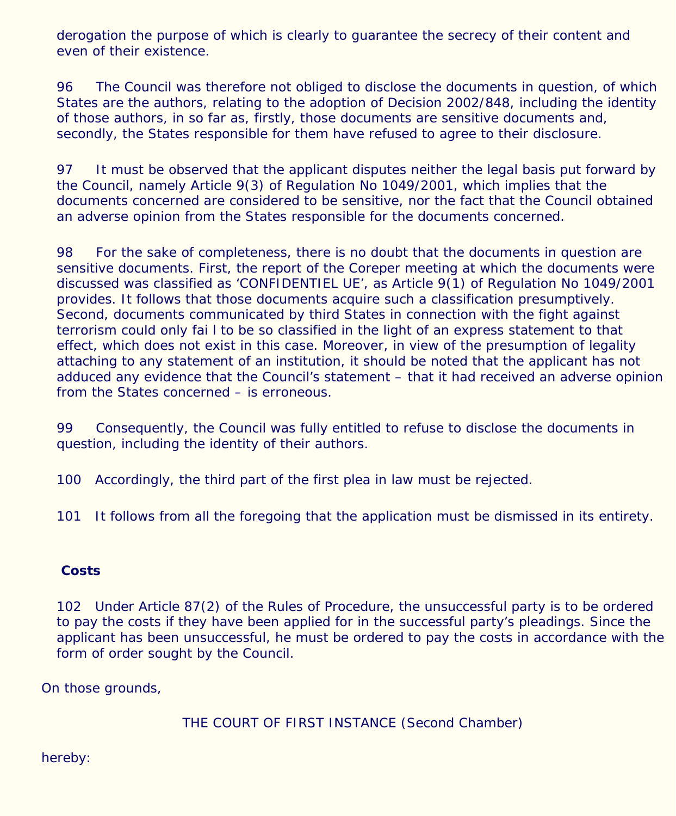derogation the purpose of which is clearly to guarantee the secrecy of their content and even of their existence.

96 The Council was therefore not obliged to disclose the documents in question, of which States are the authors, relating to the adoption of Decision 2002/848, including the identity of those authors, in so far as, firstly, those documents are sensitive documents and, secondly, the States responsible for them have refused to agree to their disclosure.

97 It must be observed that the applicant disputes neither the legal basis put forward by the Council, namely Article 9(3) of Regulation No 1049/2001, which implies that the documents concerned are considered to be sensitive, nor the fact that the Council obtained an adverse opinion from the States responsible for the documents concerned.

98 For the sake of completeness, there is no doubt that the documents in question are sensitive documents. First, the report of the Coreper meeting at which the documents were discussed was classified as 'CONFIDENTIEL UE', as Article 9(1) of Regulation No 1049/2001 provides. It follows that those documents acquire such a classification presumptively. Second, documents communicated by third States in connection with the fight against terrorism could only fai l to be so classified in the light of an express statement to that effect, which does not exist in this case. Moreover, in view of the presumption of legality attaching to any statement of an institution, it should be noted that the applicant has not adduced any evidence that the Council's statement – that it had received an adverse opinion from the States concerned – is erroneous.

99 Consequently, the Council was fully entitled to refuse to disclose the documents in question, including the identity of their authors.

100 Accordingly, the third part of the first plea in law must be rejected.

101 It follows from all the foregoing that the application must be dismissed in its entirety.

# **Costs**

102 Under Article 87(2) of the Rules of Procedure, the unsuccessful party is to be ordered to pay the costs if they have been applied for in the successful party's pleadings. Since the applicant has been unsuccessful, he must be ordered to pay the costs in accordance with the form of order sought by the Council.

On those grounds,

THE COURT OF FIRST INSTANCE (Second Chamber)

hereby: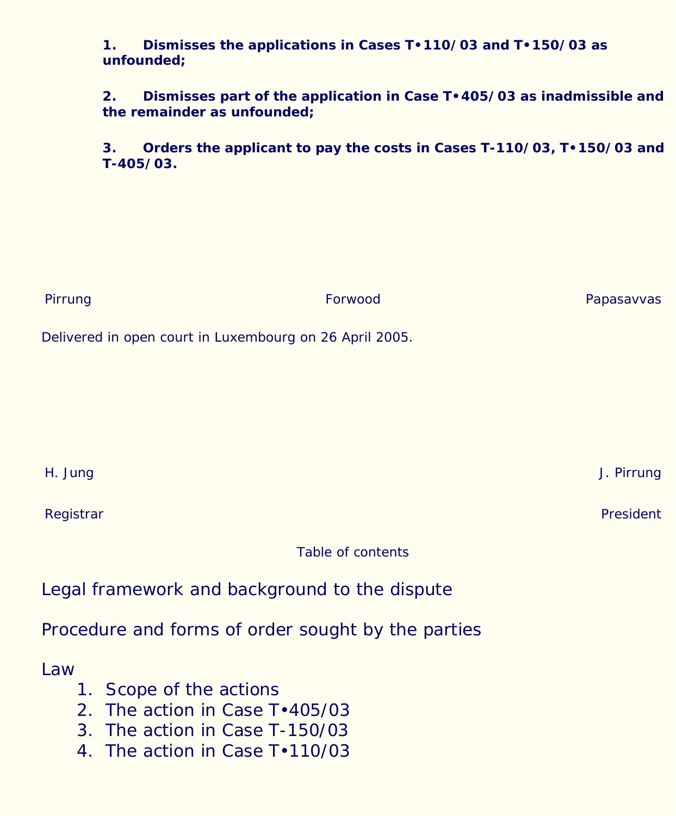#### **1. Dismisses the applications in Cases T•110/03 and T•150/03 as unfounded;**

**2. Dismisses part of the application in Case T•405/03 as inadmissible and the remainder as unfounded;**

**3. Orders the applicant to pay the costs in Cases T-110/03, T•150/03 and T-405/03.**

| Pirrung                                                 | Forwood | Papasavvas       |
|---------------------------------------------------------|---------|------------------|
| Delivered in open court in Luxembourg on 26 April 2005. |         |                  |
|                                                         |         |                  |
|                                                         |         |                  |
|                                                         |         |                  |
| H. Jung                                                 |         | J. Pirrung       |
| Registrar                                               |         | <b>President</b> |
| <b>Table of contents</b>                                |         |                  |
| Legal framework and background to the dispute           |         |                  |
| Procedure and forms of order sought by the parties      |         |                  |
| Law                                                     |         |                  |

- 1. Scope of the actions
- 2. The action in Case T•405/03
- 3. The action in Case T-150/03
- 4. The action in Case T•110/03